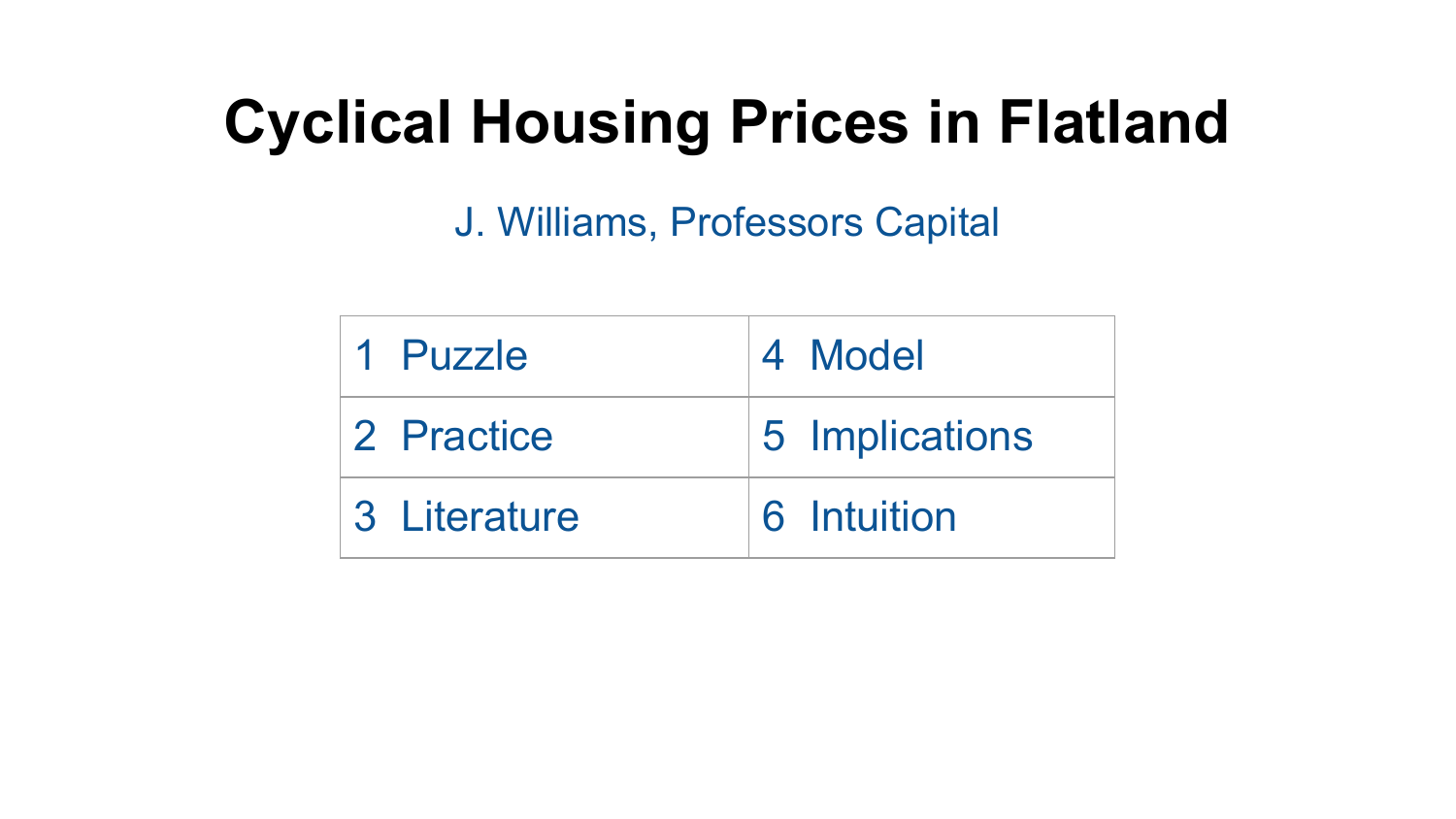## **Cyclical Housing Prices in Flatland**

J. Williams, Professors Capital

| 1 Puzzle     | 4 Model        |
|--------------|----------------|
| 2 Practice   | 5 Implications |
| 3 Literature | 6 Intuition    |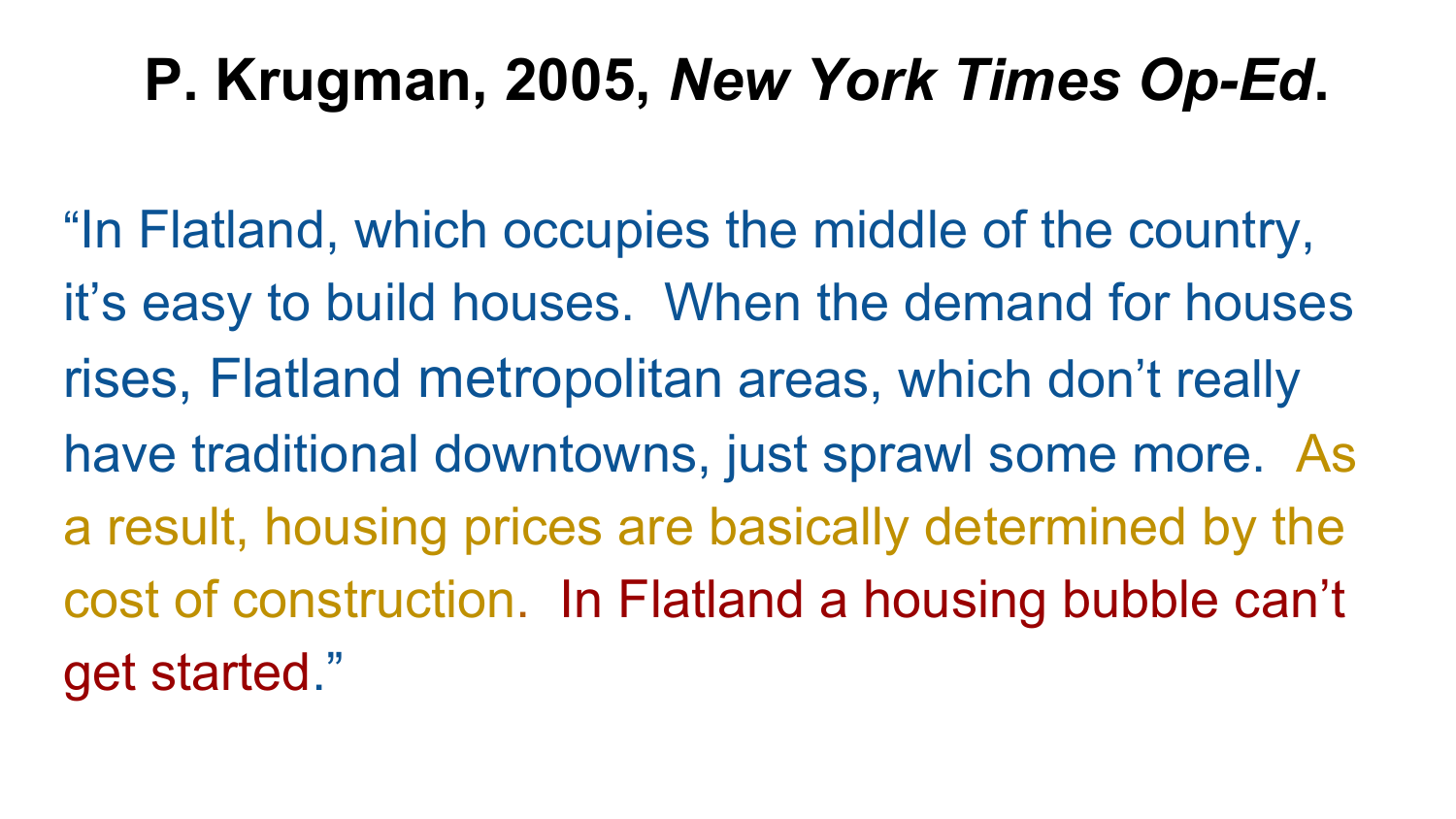#### **P. Krugman, 2005,** *New York Times Op-Ed***.**

"In Flatland, which occupies the middle of the country, it's easy to build houses. When the demand for houses rises, Flatland metropolitan areas, which don't really have traditional downtowns, just sprawl some more. As a result, housing prices are basically determined by the cost of construction. In Flatland a housing bubble can't get started."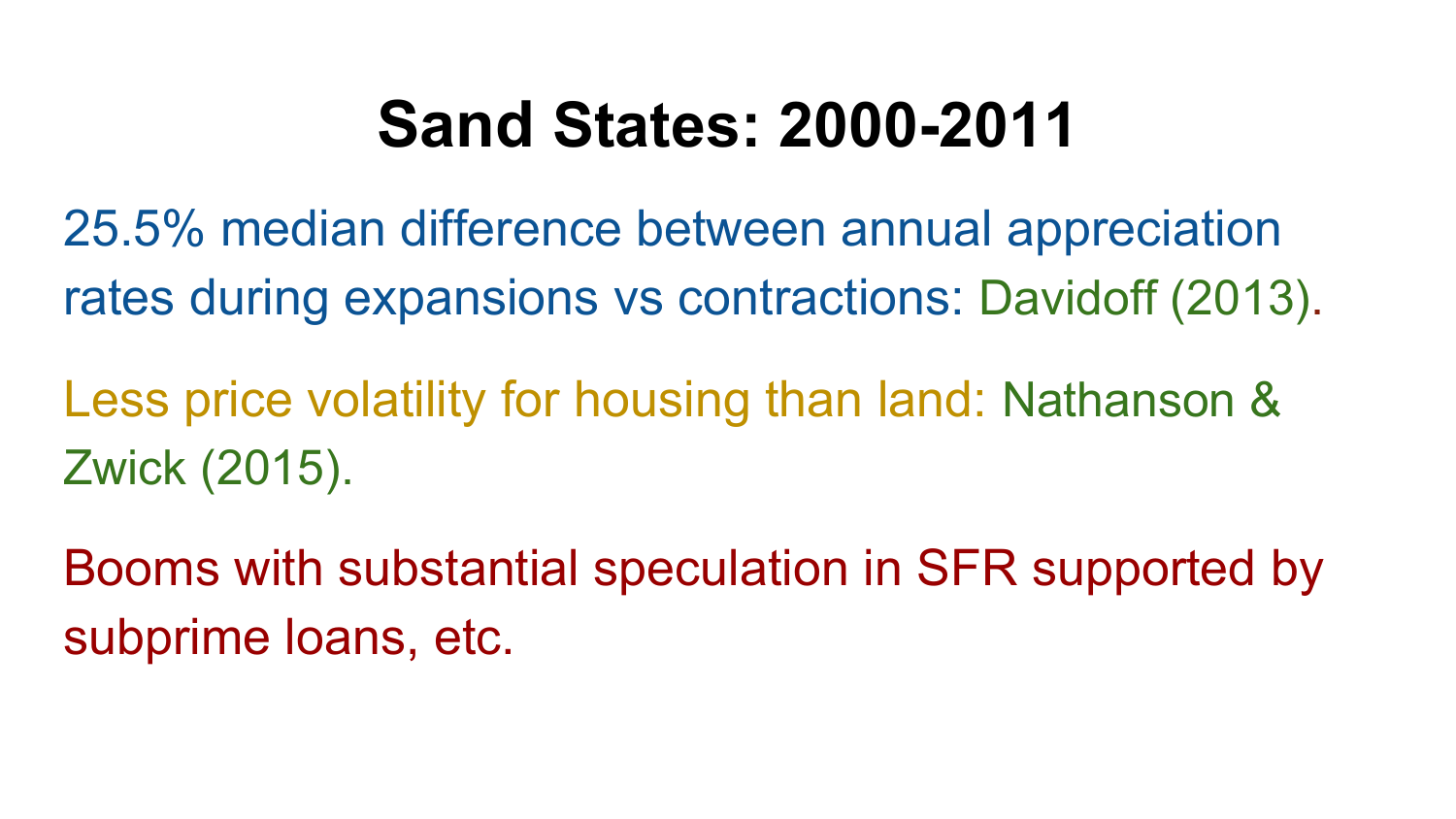## **Sand States: 2000-2011**

25.5% median difference between annual appreciation rates during expansions vs contractions: Davidoff (2013).

Less price volatility for housing than land: Nathanson & Zwick (2015).

Booms with substantial speculation in SFR supported by subprime loans, etc.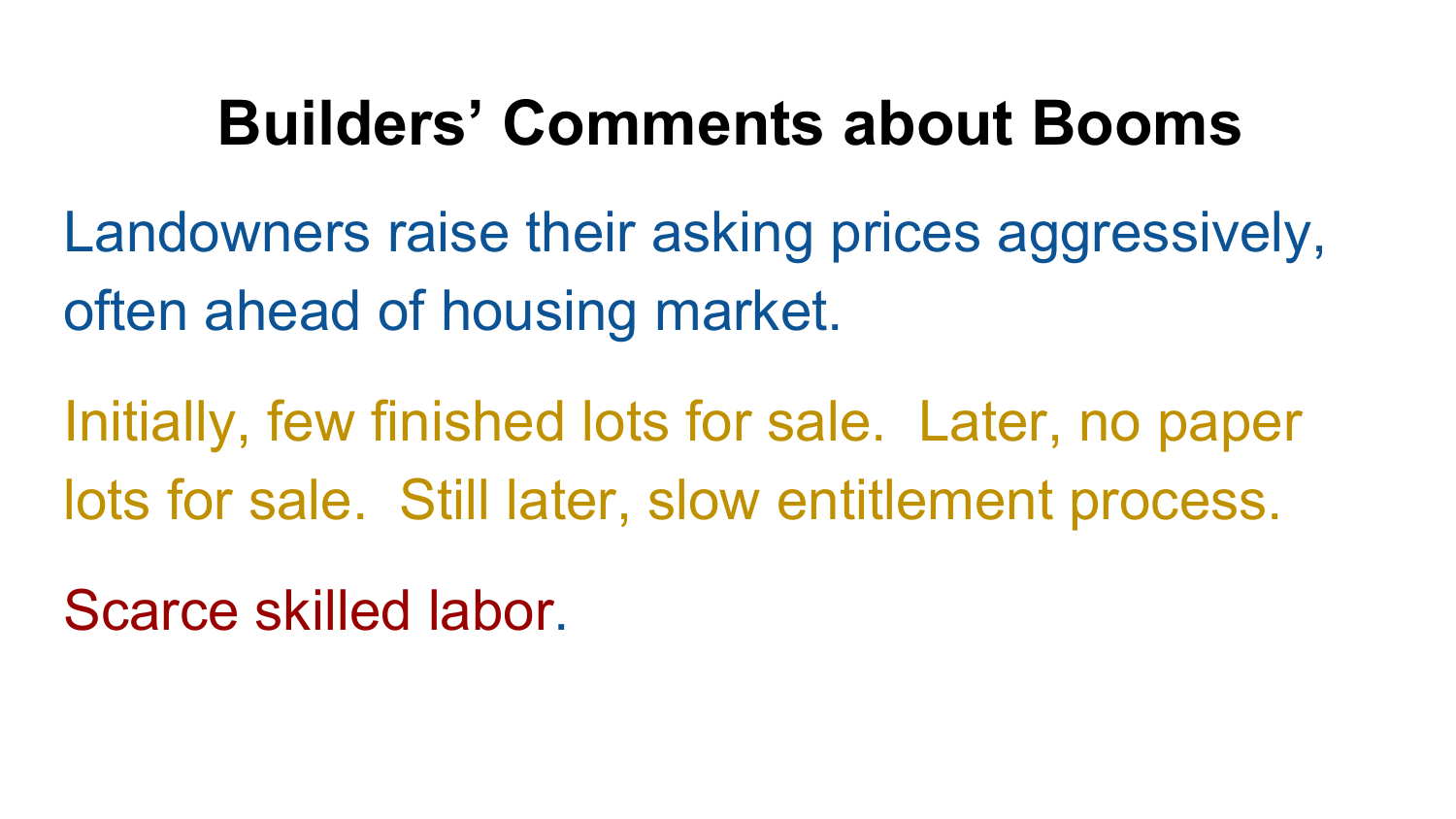#### **Builders' Comments about Booms**

Landowners raise their asking prices aggressively, often ahead of housing market.

Initially, few finished lots for sale. Later, no paper lots for sale. Still later, slow entitlement process.

Scarce skilled labor.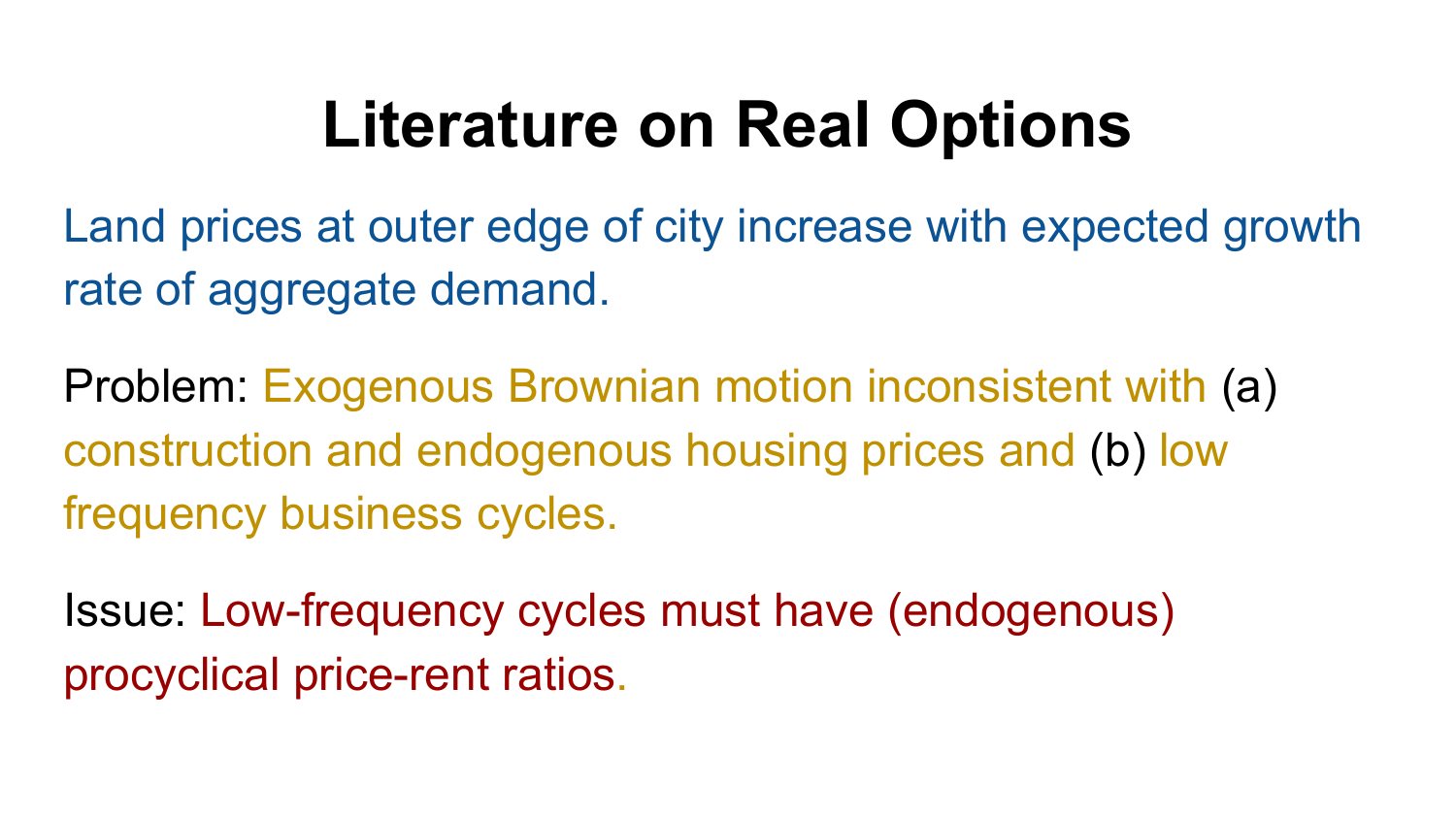# **Literature on Real Options**

Land prices at outer edge of city increase with expected growth rate of aggregate demand.

Problem: Exogenous Brownian motion inconsistent with (a) construction and endogenous housing prices and (b) low frequency business cycles.

Issue: Low-frequency cycles must have (endogenous) procyclical price-rent ratios.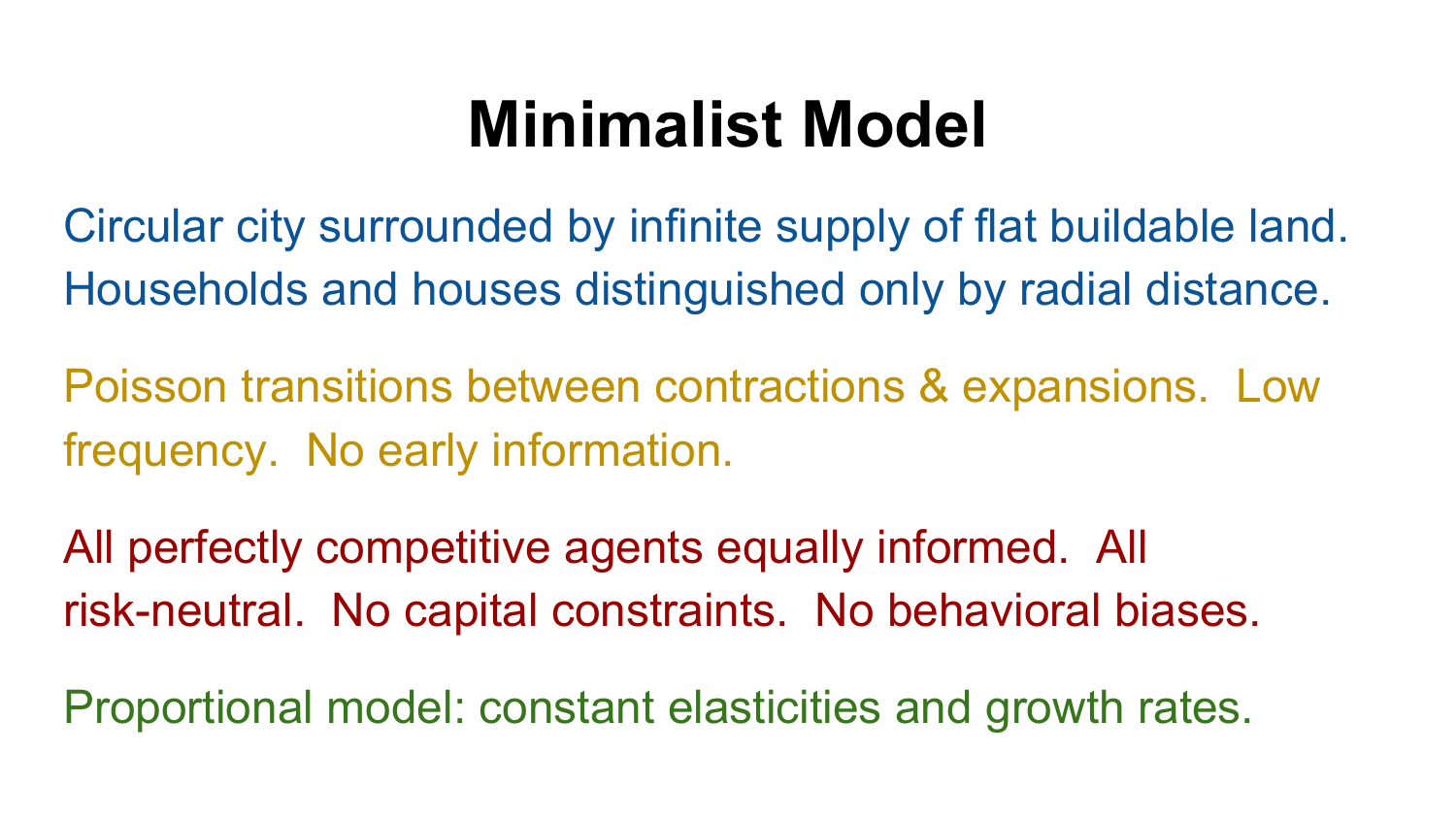## **Minimalist Model**

Circular city surrounded by infinite supply of flat buildable land. Households and houses distinguished only by radial distance.

Poisson transitions between contractions & expansions. Low frequency. No early information.

All perfectly competitive agents equally informed. All risk-neutral. No capital constraints. No behavioral biases.

Proportional model: constant elasticities and growth rates.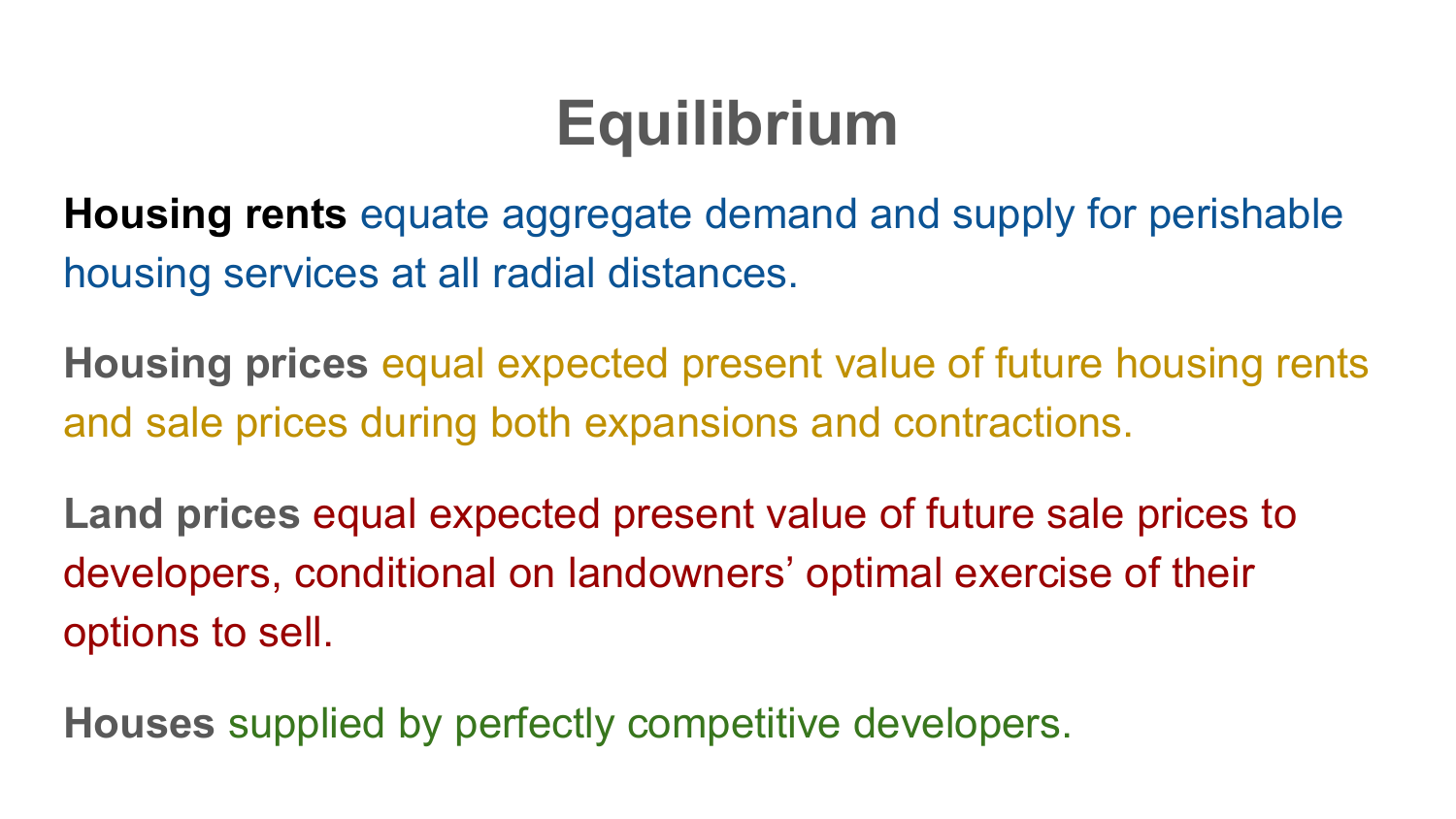## **Equilibrium**

**Housing rents** equate aggregate demand and supply for perishable housing services at all radial distances.

**Housing prices** equal expected present value of future housing rents and sale prices during both expansions and contractions.

**Land prices** equal expected present value of future sale prices to developers, conditional on landowners' optimal exercise of their options to sell.

**Houses** supplied by perfectly competitive developers.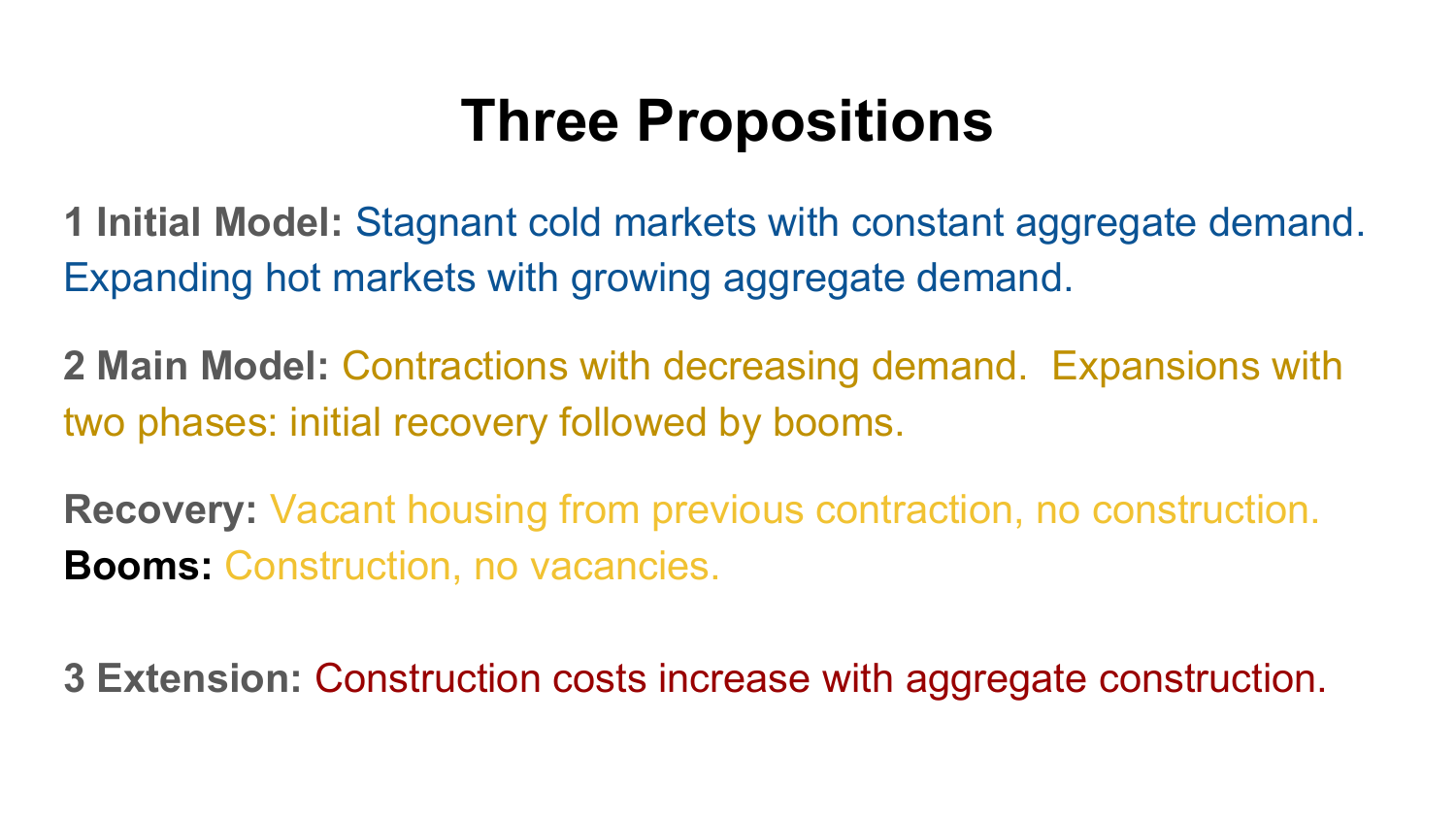#### **Three Propositions**

**1 Initial Model:** Stagnant cold markets with constant aggregate demand. Expanding hot markets with growing aggregate demand.

**2 Main Model:** Contractions with decreasing demand. Expansions with two phases: initial recovery followed by booms.

**Recovery:** Vacant housing from previous contraction, no construction. **Booms:** Construction, no vacancies.

**3 Extension:** Construction costs increase with aggregate construction.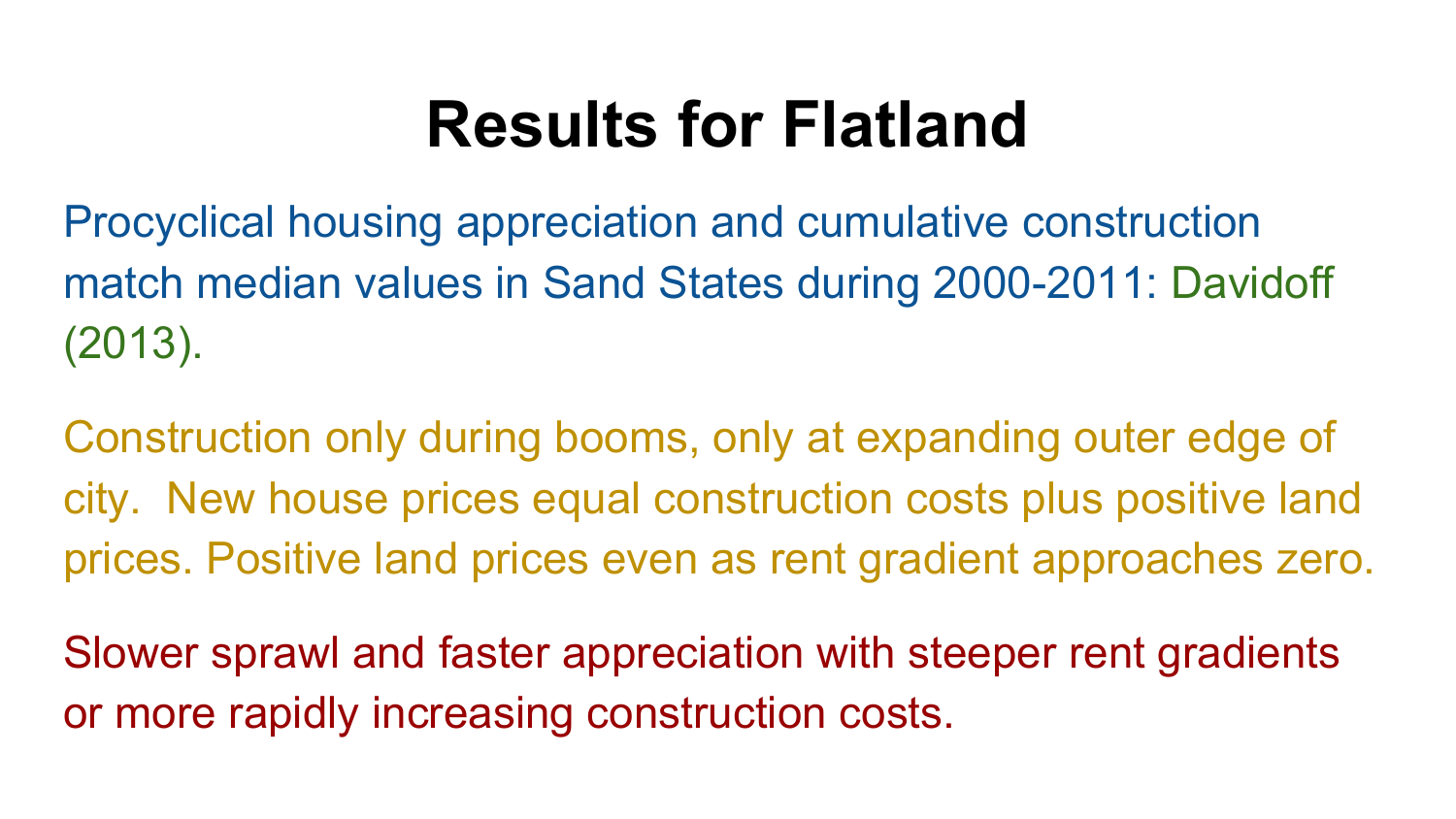## **Results for Flatland**

Procyclical housing appreciation and cumulative construction match median values in Sand States during 2000-2011: Davidoff (2013).

Construction only during booms, only at expanding outer edge of city. New house prices equal construction costs plus positive land prices. Positive land prices even as rent gradient approaches zero.

Slower sprawl and faster appreciation with steeper rent gradients or more rapidly increasing construction costs.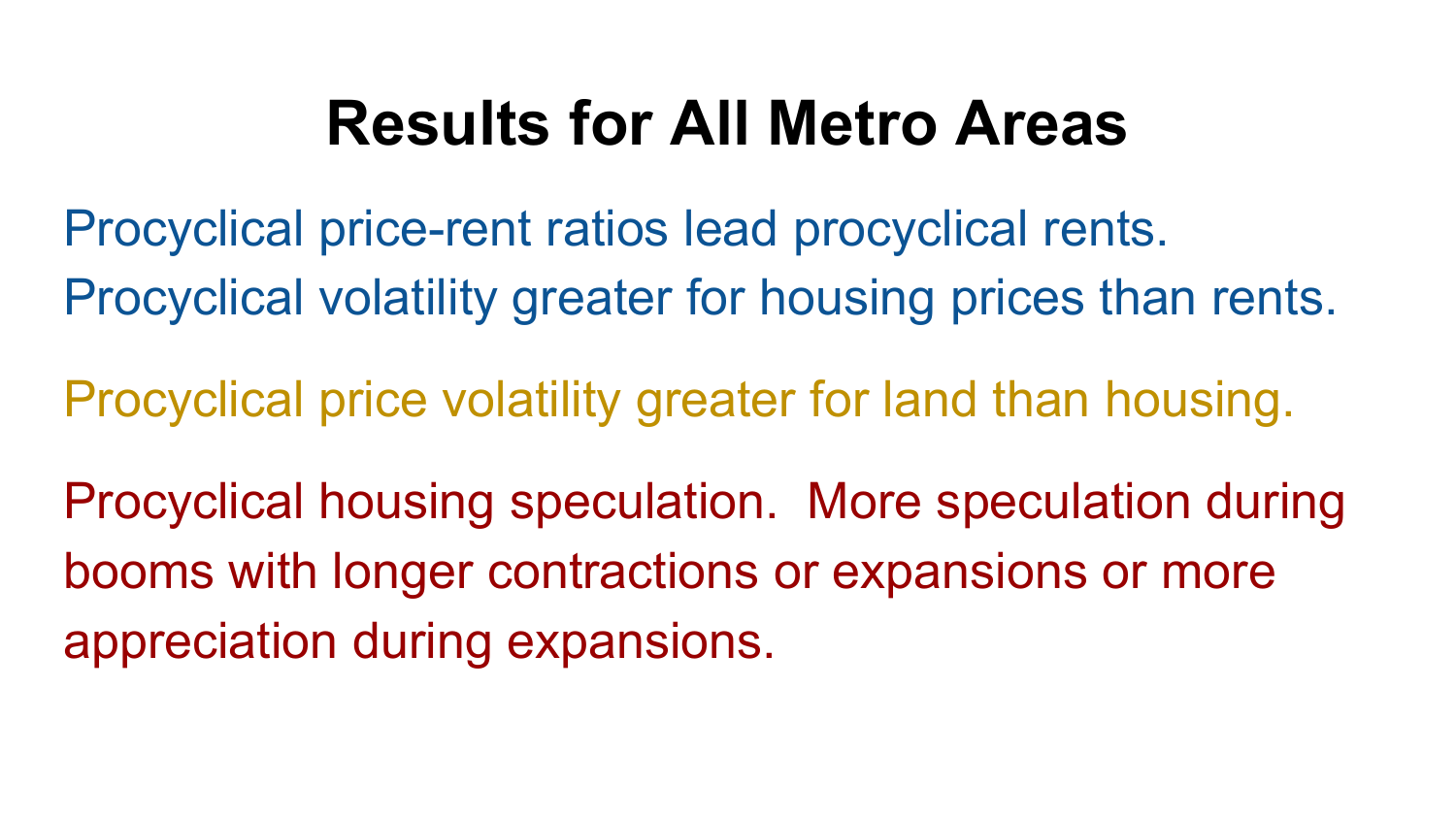## **Results for All Metro Areas**

Procyclical price-rent ratios lead procyclical rents. Procyclical volatility greater for housing prices than rents.

Procyclical price volatility greater for land than housing.

Procyclical housing speculation. More speculation during booms with longer contractions or expansions or more appreciation during expansions.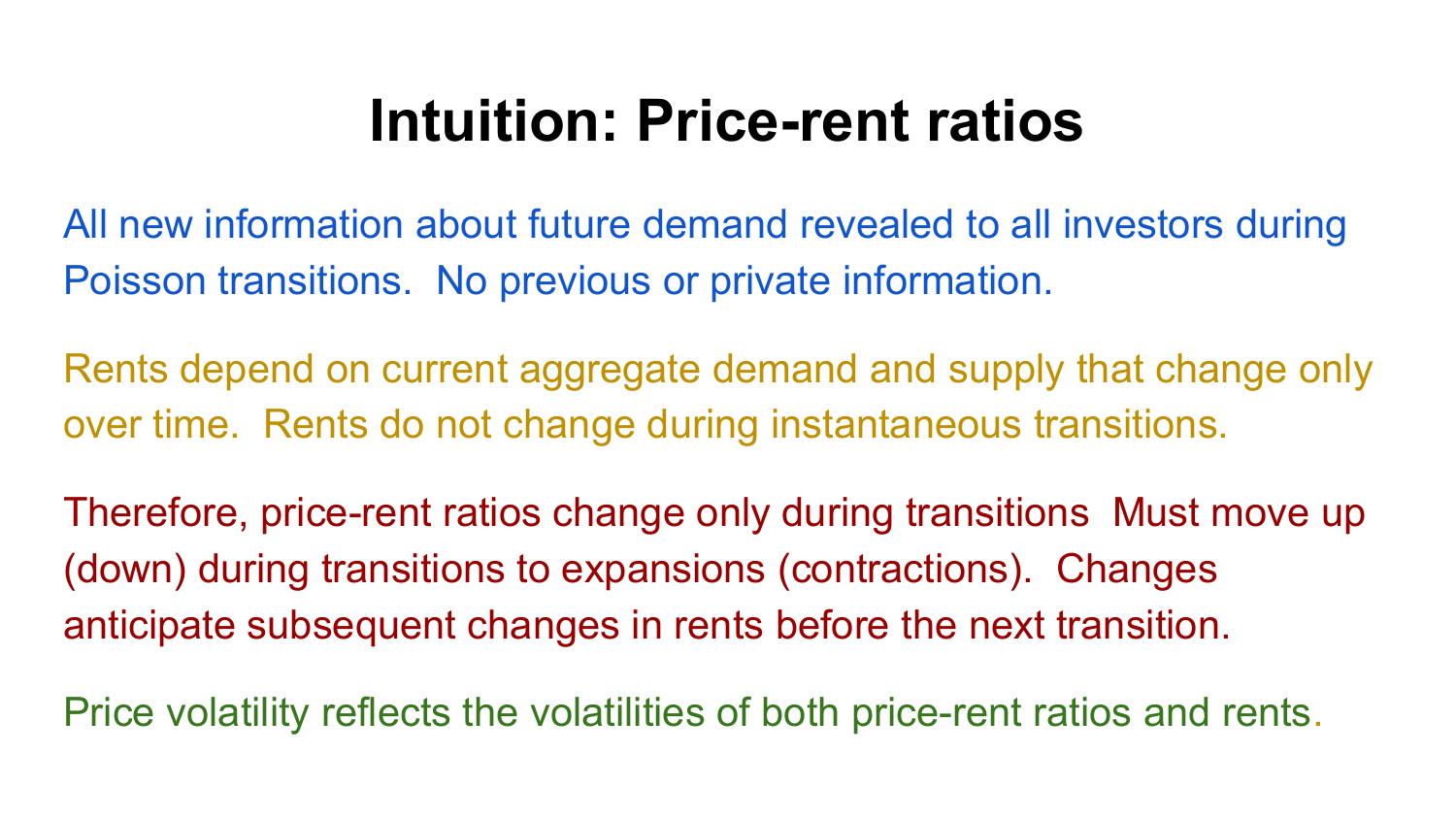#### **Intuition: Price-rent ratios**

All new information about future demand revealed to all investors during Poisson transitions. No previous or private information.

Rents depend on current aggregate demand and supply that change only over time. Rents do not change during instantaneous transitions.

Therefore, price-rent ratios change only during transitions Must move up (down) during transitions to expansions (contractions). Changes anticipate subsequent changes in rents before the next transition.

Price volatility reflects the volatilities of both price-rent ratios and rents.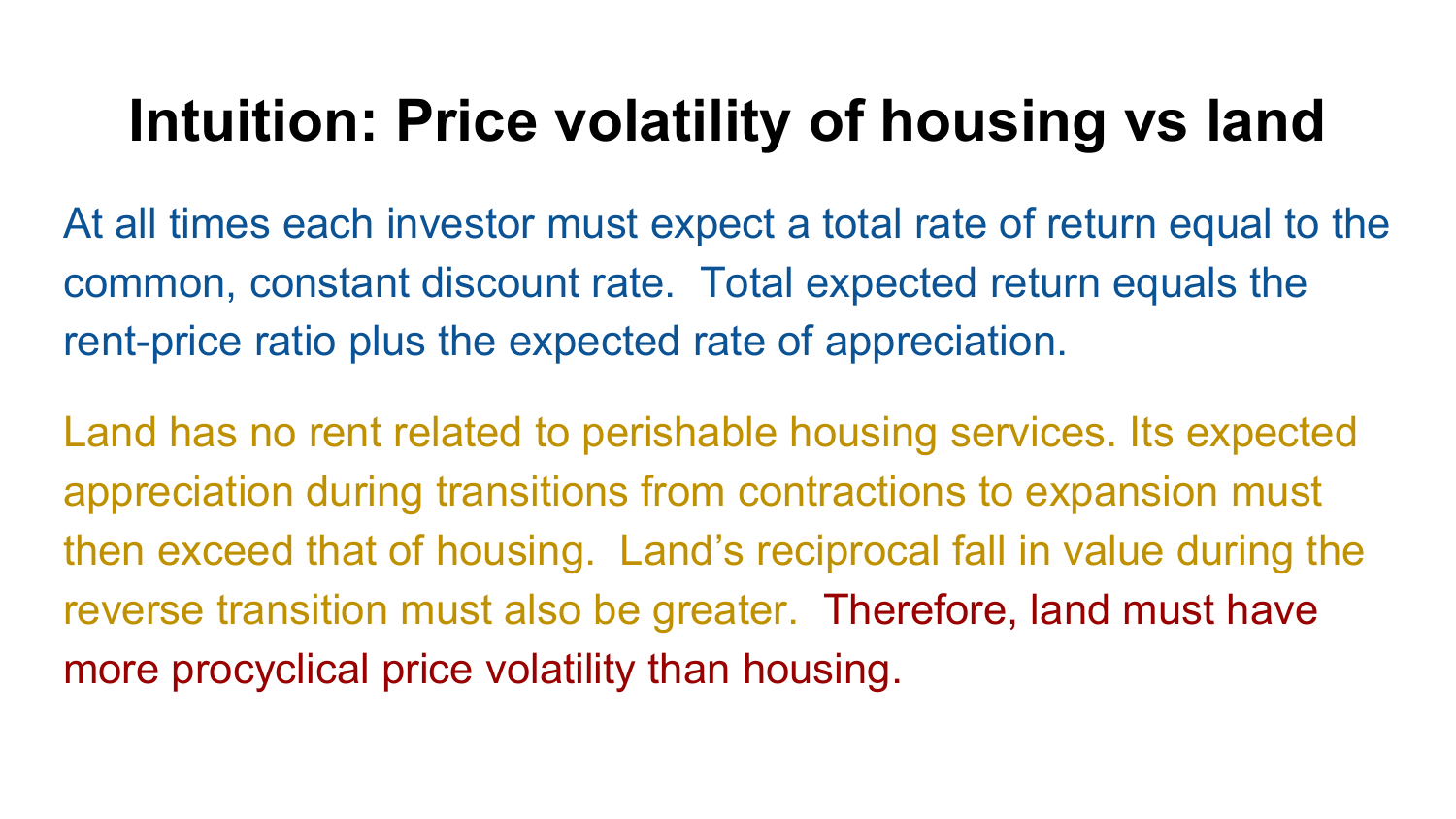#### **Intuition: Price volatility of housing vs land**

At all times each investor must expect a total rate of return equal to the common, constant discount rate. Total expected return equals the rent-price ratio plus the expected rate of appreciation.

Land has no rent related to perishable housing services. Its expected appreciation during transitions from contractions to expansion must then exceed that of housing. Land's reciprocal fall in value during the reverse transition must also be greater. Therefore, land must have more procyclical price volatility than housing.